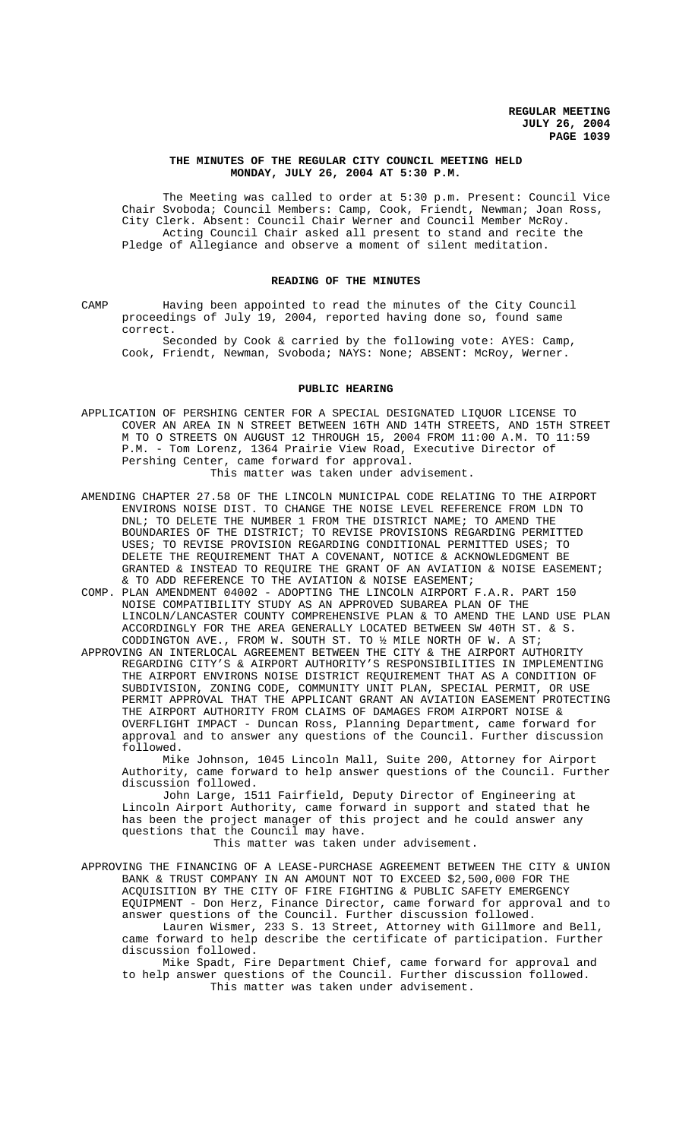### **THE MINUTES OF THE REGULAR CITY COUNCIL MEETING HELD MONDAY, JULY 26, 2004 AT 5:30 P.M.**

The Meeting was called to order at 5:30 p.m. Present: Council Vice Chair Svoboda; Council Members: Camp, Cook, Friendt, Newman; Joan Ross, City Clerk. Absent: Council Chair Werner and Council Member McRoy. Acting Council Chair asked all present to stand and recite the Pledge of Allegiance and observe a moment of silent meditation.

### **READING OF THE MINUTES**

CAMP Having been appointed to read the minutes of the City Council proceedings of July 19, 2004, reported having done so, found same correct.

Seconded by Cook & carried by the following vote: AYES: Camp, Cook, Friendt, Newman, Svoboda; NAYS: None; ABSENT: McRoy, Werner.

### **PUBLIC HEARING**

- APPLICATION OF PERSHING CENTER FOR A SPECIAL DESIGNATED LIQUOR LICENSE TO COVER AN AREA IN N STREET BETWEEN 16TH AND 14TH STREETS, AND 15TH STREET M TO O STREETS ON AUGUST 12 THROUGH 15, 2004 FROM 11:00 A.M. TO 11:59 P.M. - Tom Lorenz, 1364 Prairie View Road, Executive Director of Pershing Center, came forward for approval. This matter was taken under advisement.
- AMENDING CHAPTER 27.58 OF THE LINCOLN MUNICIPAL CODE RELATING TO THE AIRPORT ENVIRONS NOISE DIST. TO CHANGE THE NOISE LEVEL REFERENCE FROM LDN TO DNL; TO DELETE THE NUMBER 1 FROM THE DISTRICT NAME; TO AMEND THE BOUNDARIES OF THE DISTRICT; TO REVISE PROVISIONS REGARDING PERMITTED USES; TO REVISE PROVISION REGARDING CONDITIONAL PERMITTED USES; TO DELETE THE REQUIREMENT THAT A COVENANT, NOTICE & ACKNOWLEDGMENT BE GRANTED & INSTEAD TO REQUIRE THE GRANT OF AN AVIATION & NOISE EASEMENT; & TO ADD REFERENCE TO THE AVIATION & NOISE EASEMENT;
- COMP. PLAN AMENDMENT 04002 ADOPTING THE LINCOLN AIRPORT F.A.R. PART 150 NOISE COMPATIBILITY STUDY AS AN APPROVED SUBAREA PLAN OF THE LINCOLN/LANCASTER COUNTY COMPREHENSIVE PLAN & TO AMEND THE LAND USE PLAN ACCORDINGLY FOR THE AREA GENERALLY LOCATED BETWEEN SW 40TH ST. & S. CODDINGTON AVE., FROM W. SOUTH ST. TO  $\frac{1}{2}$  MILE NORTH OF W. A ST;
- APPROVING AN INTERLOCAL AGREEMENT BETWEEN THE CITY & THE AIRPORT AUTHORITY REGARDING CITY'S & AIRPORT AUTHORITY'S RESPONSIBILITIES IN IMPLEMENTING THE AIRPORT ENVIRONS NOISE DISTRICT REQUIREMENT THAT AS A CONDITION OF SUBDIVISION, ZONING CODE, COMMUNITY UNIT PLAN, SPECIAL PERMIT, OR USE PERMIT APPROVAL THAT THE APPLICANT GRANT AN AVIATION EASEMENT PROTECTING THE AIRPORT AUTHORITY FROM CLAIMS OF DAMAGES FROM AIRPORT NOISE & OVERFLIGHT IMPACT - Duncan Ross, Planning Department, came forward for approval and to answer any questions of the Council. Further discussion followed.

Mike Johnson, 1045 Lincoln Mall, Suite 200, Attorney for Airport Authority, came forward to help answer questions of the Council. Further discussion followed.

John Large, 1511 Fairfield, Deputy Director of Engineering at Lincoln Airport Authority, came forward in support and stated that he has been the project manager of this project and he could answer any questions that the Council may have.

### This matter was taken under advisement.

APPROVING THE FINANCING OF A LEASE-PURCHASE AGREEMENT BETWEEN THE CITY & UNION BANK & TRUST COMPANY IN AN AMOUNT NOT TO EXCEED \$2,500,000 FOR THE ACQUISITION BY THE CITY OF FIRE FIGHTING & PUBLIC SAFETY EMERGENCY EQUIPMENT - Don Herz, Finance Director, came forward for approval and to answer questions of the Council. Further discussion followed. Lauren Wismer, 233 S. 13 Street, Attorney with Gillmore and Bell, came forward to help describe the certificate of participation. Further discussion followed.

Mike Spadt, Fire Department Chief, came forward for approval and to help answer questions of the Council. Further discussion followed. This matter was taken under advisement.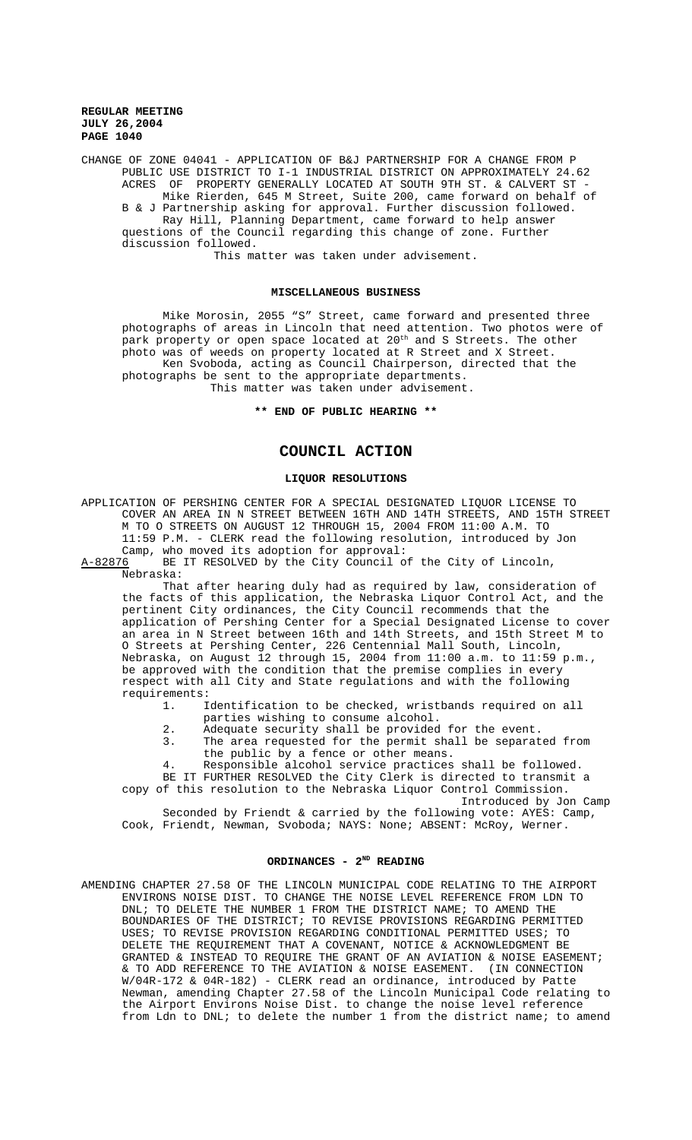CHANGE OF ZONE 04041 - APPLICATION OF B&J PARTNERSHIP FOR A CHANGE FROM P PUBLIC USE DISTRICT TO I-1 INDUSTRIAL DISTRICT ON APPROXIMATELY 24.62 ACRES OF PROPERTY GENERALLY LOCATED AT SOUTH 9TH ST.  $\&$  CALVERT ST  $\cdot$ Mike Rierden, 645 M Street, Suite 200, came forward on behalf of B & J Partnership asking for approval. Further discussion followed. Ray Hill, Planning Department, came forward to help answer questions of the Council regarding this change of zone. Further discussion followed.

This matter was taken under advisement.

### **MISCELLANEOUS BUSINESS**

Mike Morosin, 2055 "S" Street, came forward and presented three photographs of areas in Lincoln that need attention. Two photos were of park property or open space located at  $20^{\rm th}$  and S Streets. The other photo was of weeds on property located at R Street and X Street. Ken Svoboda, acting as Council Chairperson, directed that the photographs be sent to the appropriate departments.

This matter was taken under advisement.

### **\*\* END OF PUBLIC HEARING \*\***

## **COUNCIL ACTION**

## **LIQUOR RESOLUTIONS**

APPLICATION OF PERSHING CENTER FOR A SPECIAL DESIGNATED LIQUOR LICENSE TO COVER AN AREA IN N STREET BETWEEN 16TH AND 14TH STREETS, AND 15TH STREET M TO O STREETS ON AUGUST 12 THROUGH 15, 2004 FROM 11:00 A.M. TO 11:59 P.M. - CLERK read the following resolution, introduced by Jon Camp, who moved its adoption for approval:<br>A-82876 BE IT RESOLVED by the City Council o

BE IT RESOLVED by the City Council of the City of Lincoln, Nebraska:

That after hearing duly had as required by law, consideration of the facts of this application, the Nebraska Liquor Control Act, and the pertinent City ordinances, the City Council recommends that the application of Pershing Center for a Special Designated License to cover an area in N Street between 16th and 14th Streets, and 15th Street M to O Streets at Pershing Center, 226 Centennial Mall South, Lincoln, Nebraska, on August 12 through 15, 2004 from 11:00 a.m. to 11:59 p.m., be approved with the condition that the premise complies in every respect with all City and State regulations and with the following requirements:

1. Identification to be checked, wristbands required on all parties wishing to consume alcohol.

- 2. Adequate security shall be provided for the event.
- 3. The area requested for the permit shall be separated from the public by a fence or other means.
- 4. Responsible alcohol service practices shall be followed.

BE IT FURTHER RESOLVED the City Clerk is directed to transmit a copy of this resolution to the Nebraska Liquor Control Commission.

Introduced by Jon Camp Seconded by Friendt & carried by the following vote: AYES: Camp, Cook, Friendt, Newman, Svoboda; NAYS: None; ABSENT: McRoy, Werner.

## **ORDINANCES - 2ND READING**

AMENDING CHAPTER 27.58 OF THE LINCOLN MUNICIPAL CODE RELATING TO THE AIRPORT ENVIRONS NOISE DIST. TO CHANGE THE NOISE LEVEL REFERENCE FROM LDN TO DNL; TO DELETE THE NUMBER 1 FROM THE DISTRICT NAME; TO AMEND THE BOUNDARIES OF THE DISTRICT; TO REVISE PROVISIONS REGARDING PERMITTED USES; TO REVISE PROVISION REGARDING CONDITIONAL PERMITTED USES; TO DELETE THE REQUIREMENT THAT A COVENANT, NOTICE & ACKNOWLEDGMENT BE GRANTED & INSTEAD TO REQUIRE THE GRANT OF AN AVIATION & NOISE EASEMENT; & TO ADD REFERENCE TO THE AVIATION & NOISE EASEMENT. (IN CONNECTION W/04R-172 & 04R-182) - CLERK read an ordinance, introduced by Patte Newman, amending Chapter 27.58 of the Lincoln Municipal Code relating to the Airport Environs Noise Dist. to change the noise level reference from Ldn to DNL; to delete the number 1 from the district name; to amend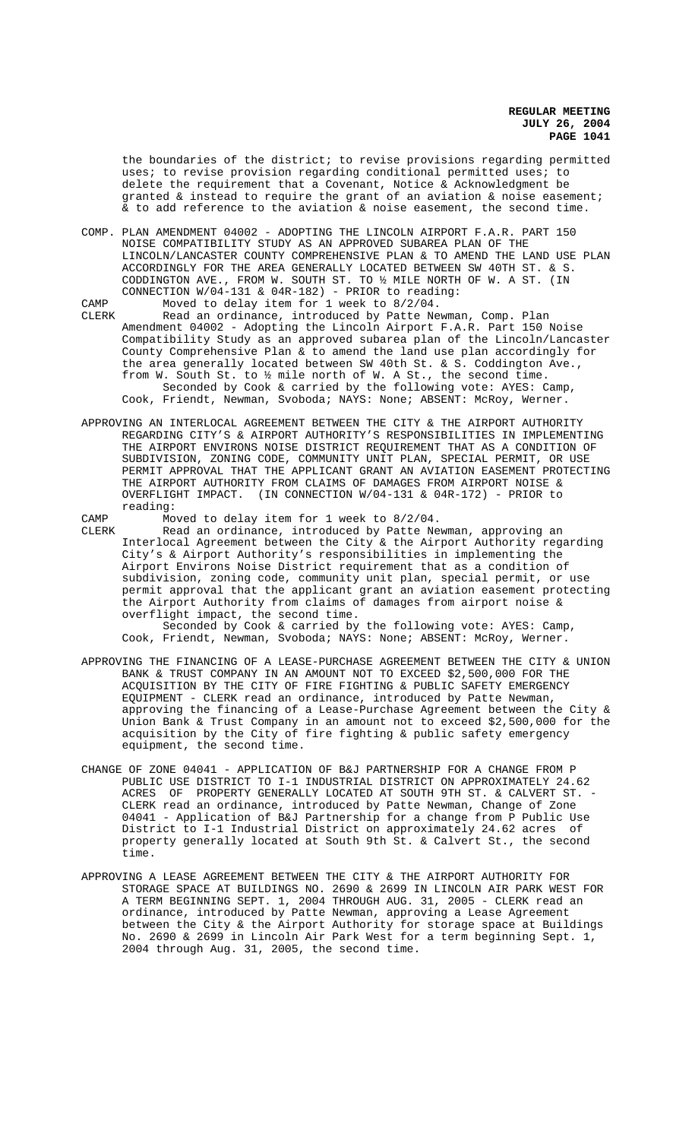the boundaries of the district; to revise provisions regarding permitted uses; to revise provision regarding conditional permitted uses; to delete the requirement that a Covenant, Notice & Acknowledgment be granted & instead to require the grant of an aviation & noise easement; & to add reference to the aviation & noise easement, the second time.

- COMP. PLAN AMENDMENT 04002 ADOPTING THE LINCOLN AIRPORT F.A.R. PART 150 NOISE COMPATIBILITY STUDY AS AN APPROVED SUBAREA PLAN OF THE LINCOLN/LANCASTER COUNTY COMPREHENSIVE PLAN & TO AMEND THE LAND USE PLAN ACCORDINGLY FOR THE AREA GENERALLY LOCATED BETWEEN SW 40TH ST. & S.<br>CODDINGTON AVE., FROM W. SOUTH ST. TO  $\frac{1}{2}$  MILE NORTH OF W. A ST. (TN CODDINGTON AVE., FROM W. SOUTH ST. TO  $%$  MILE NORTH OF W. A ST. CONNECTION W/04-131 & 04R-182) - PRIOR to reading:
- CAMP Moved to delay item for 1 week to 8/2/04.<br>CLERK Read an ordinance, introduced by Patte Ne Read an ordinance, introduced by Patte Newman, Comp. Plan Amendment 04002 - Adopting the Lincoln Airport F.A.R. Part 150 Noise Compatibility Study as an approved subarea plan of the Lincoln/Lancaster County Comprehensive Plan & to amend the land use plan accordingly for the area generally located between SW 40th St. & S. Coddington Ave., from W. South St. to ½ mile north of W. A St., the second time. Seconded by Cook & carried by the following vote: AYES: Camp, Cook, Friendt, Newman, Svoboda; NAYS: None; ABSENT: McRoy, Werner.
- APPROVING AN INTERLOCAL AGREEMENT BETWEEN THE CITY & THE AIRPORT AUTHORITY REGARDING CITY'S & AIRPORT AUTHORITY'S RESPONSIBILITIES IN IMPLEMENTING THE AIRPORT ENVIRONS NOISE DISTRICT REQUIREMENT THAT AS A CONDITION OF SUBDIVISION, ZONING CODE, COMMUNITY UNIT PLAN, SPECIAL PERMIT, OR USE PERMIT APPROVAL THAT THE APPLICANT GRANT AN AVIATION EASEMENT PROTECTING THE AIRPORT AUTHORITY FROM CLAIMS OF DAMAGES FROM AIRPORT NOISE &<br>OVERFLIGHT IMPACT. (IN CONNECTION W/04-131 & 04R-172) - PRIOR to (IN CONNECTION  $W/04-131$  & 04R-172) - PRIOR to reading:

CAMP Moved to delay item for 1 week to 8/2/04.

CLERK Read an ordinance, introduced by Patte Newman, approving an Interlocal Agreement between the City & the Airport Authority regarding City's & Airport Authority's responsibilities in implementing the Airport Environs Noise District requirement that as a condition of subdivision, zoning code, community unit plan, special permit, or use permit approval that the applicant grant an aviation easement protecting the Airport Authority from claims of damages from airport noise & overflight impact, the second time.

Seconded by Cook & carried by the following vote: AYES: Camp, Cook, Friendt, Newman, Svoboda; NAYS: None; ABSENT: McRoy, Werner.

- APPROVING THE FINANCING OF A LEASE-PURCHASE AGREEMENT BETWEEN THE CITY & UNION BANK & TRUST COMPANY IN AN AMOUNT NOT TO EXCEED \$2,500,000 FOR THE ACQUISITION BY THE CITY OF FIRE FIGHTING & PUBLIC SAFETY EMERGENCY EQUIPMENT - CLERK read an ordinance, introduced by Patte Newman, approving the financing of a Lease-Purchase Agreement between the City & Union Bank & Trust Company in an amount not to exceed \$2,500,000 for the acquisition by the City of fire fighting & public safety emergency equipment, the second time.
- CHANGE OF ZONE 04041 APPLICATION OF B&J PARTNERSHIP FOR A CHANGE FROM P PUBLIC USE DISTRICT TO I-1 INDUSTRIAL DISTRICT ON APPROXIMATELY 24.62 ACRES OF PROPERTY GENERALLY LOCATED AT SOUTH 9TH ST. & CALVERT ST. -CLERK read an ordinance, introduced by Patte Newman, Change of Zone 04041 - Application of B&J Partnership for a change from P Public Use District to I-1 Industrial District on approximately 24.62 acres of property generally located at South 9th St. & Calvert St., the second time.
- APPROVING A LEASE AGREEMENT BETWEEN THE CITY & THE AIRPORT AUTHORITY FOR STORAGE SPACE AT BUILDINGS NO. 2690 & 2699 IN LINCOLN AIR PARK WEST FOR A TERM BEGINNING SEPT. 1, 2004 THROUGH AUG. 31, 2005 - CLERK read an ordinance, introduced by Patte Newman, approving a Lease Agreement between the City & the Airport Authority for storage space at Buildings No. 2690 & 2699 in Lincoln Air Park West for a term beginning Sept. 1, 2004 through Aug. 31, 2005, the second time.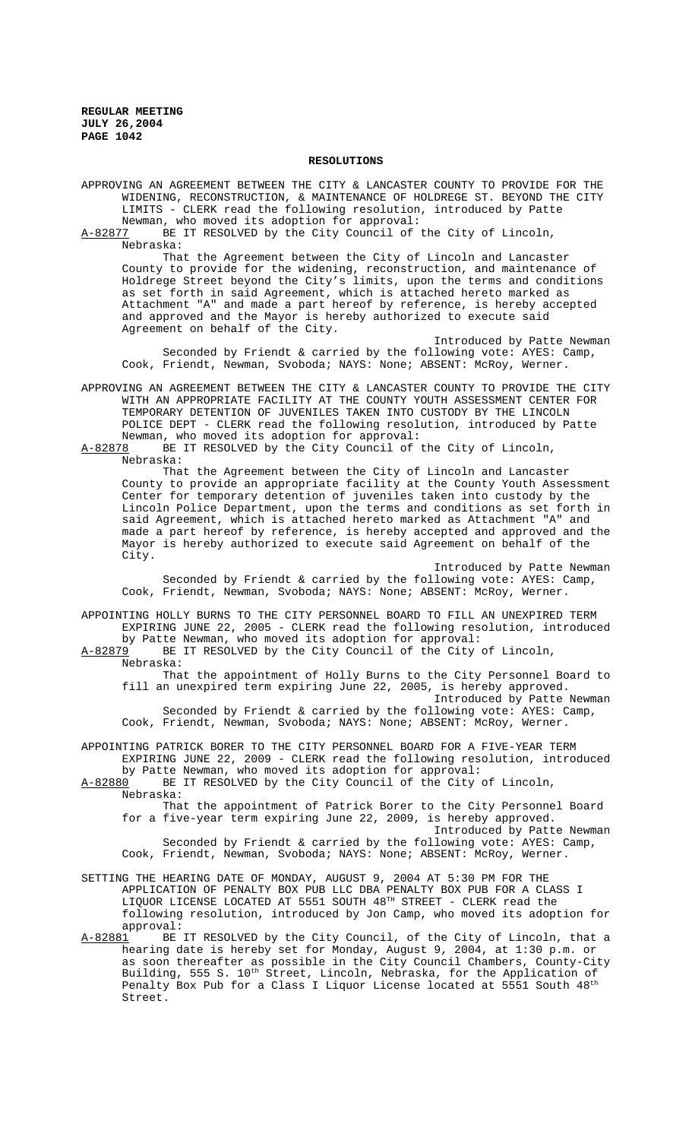#### **RESOLUTIONS**

APPROVING AN AGREEMENT BETWEEN THE CITY & LANCASTER COUNTY TO PROVIDE FOR THE WIDENING, RECONSTRUCTION, & MAINTENANCE OF HOLDREGE ST. BEYOND THE CITY LIMITS - CLERK read the following resolution, introduced by Patte

Newman, who moved its adoption for approval:<br>A-82877 BE IT RESOLVED by the City Council of BE IT RESOLVED by the City Council of the City of Lincoln, Nebraska:

That the Agreement between the City of Lincoln and Lancaster County to provide for the widening, reconstruction, and maintenance of Holdrege Street beyond the City's limits, upon the terms and conditions as set forth in said Agreement, which is attached hereto marked as Attachment "A" and made a part hereof by reference, is hereby accepted and approved and the Mayor is hereby authorized to execute said Agreement on behalf of the City.

Introduced by Patte Newman Seconded by Friendt & carried by the following vote: AYES: Camp, Cook, Friendt, Newman, Svoboda; NAYS: None; ABSENT: McRoy, Werner.

APPROVING AN AGREEMENT BETWEEN THE CITY & LANCASTER COUNTY TO PROVIDE THE CITY WITH AN APPROPRIATE FACILITY AT THE COUNTY YOUTH ASSESSMENT CENTER FOR TEMPORARY DETENTION OF JUVENILES TAKEN INTO CUSTODY BY THE LINCOLN POLICE DEPT - CLERK read the following resolution, introduced by Patte Newman, who moved its adoption for approval:

A-82878 BE IT RESOLVED by the City Council of the City of Lincoln, Nebraska:

That the Agreement between the City of Lincoln and Lancaster County to provide an appropriate facility at the County Youth Assessment Center for temporary detention of juveniles taken into custody by the Lincoln Police Department, upon the terms and conditions as set forth in said Agreement, which is attached hereto marked as Attachment "A" and made a part hereof by reference, is hereby accepted and approved and the Mayor is hereby authorized to execute said Agreement on behalf of the City.

Introduced by Patte Newman Seconded by Friendt & carried by the following vote: AYES: Camp, Cook, Friendt, Newman, Svoboda; NAYS: None; ABSENT: McRoy, Werner.

APPOINTING HOLLY BURNS TO THE CITY PERSONNEL BOARD TO FILL AN UNEXPIRED TERM EXPIRING JUNE 22, 2005 - CLERK read the following resolution, introduced

by Patte Newman, who moved its adoption for approval: A-82879 BE IT RESOLVED by the City Council of the City of Lincoln,

Nebraska:

That the appointment of Holly Burns to the City Personnel Board to fill an unexpired term expiring June 22, 2005, is hereby approved. Introduced by Patte Newman Seconded by Friendt & carried by the following vote:  $AYES$ : Camp,

Cook, Friendt, Newman, Svoboda; NAYS: None; ABSENT: McRoy, Werner.

APPOINTING PATRICK BORER TO THE CITY PERSONNEL BOARD FOR A FIVE-YEAR TERM EXPIRING JUNE 22, 2009 - CLERK read the following resolution, introduced by Patte Newman, who moved its adoption for approval:

A-82880 BE IT RESOLVED by the City Council of the City of Lincoln, Nebraska:

That the appointment of Patrick Borer to the City Personnel Board for a five-year term expiring June 22, 2009, is hereby approved. Introduced by Patte Newman

Seconded by Friendt & carried by the following vote: AYES: Camp, Cook, Friendt, Newman, Svoboda; NAYS: None; ABSENT: McRoy, Werner.

SETTING THE HEARING DATE OF MONDAY, AUGUST 9, 2004 AT 5:30 PM FOR THE APPLICATION OF PENALTY BOX PUB LLC DBA PENALTY BOX PUB FOR A CLASS I LIQUOR LICENSE LOCATED AT 5551 SOUTH 48TH STREET - CLERK read the following resolution, introduced by Jon Camp, who moved its adoption for approval:<br>A-82881 BE

BE IT RESOLVED by the City Council, of the City of Lincoln, that a hearing date is hereby set for Monday, August 9, 2004, at 1:30 p.m. or as soon thereafter as possible in the City Council Chambers, County-City Building, 555 S. 10<sup>th</sup> Street, Lincoln, Nebraska, for the Application of Penalty Box Pub for a Class I Liquor License located at 5551 South 48<sup>th</sup> Street.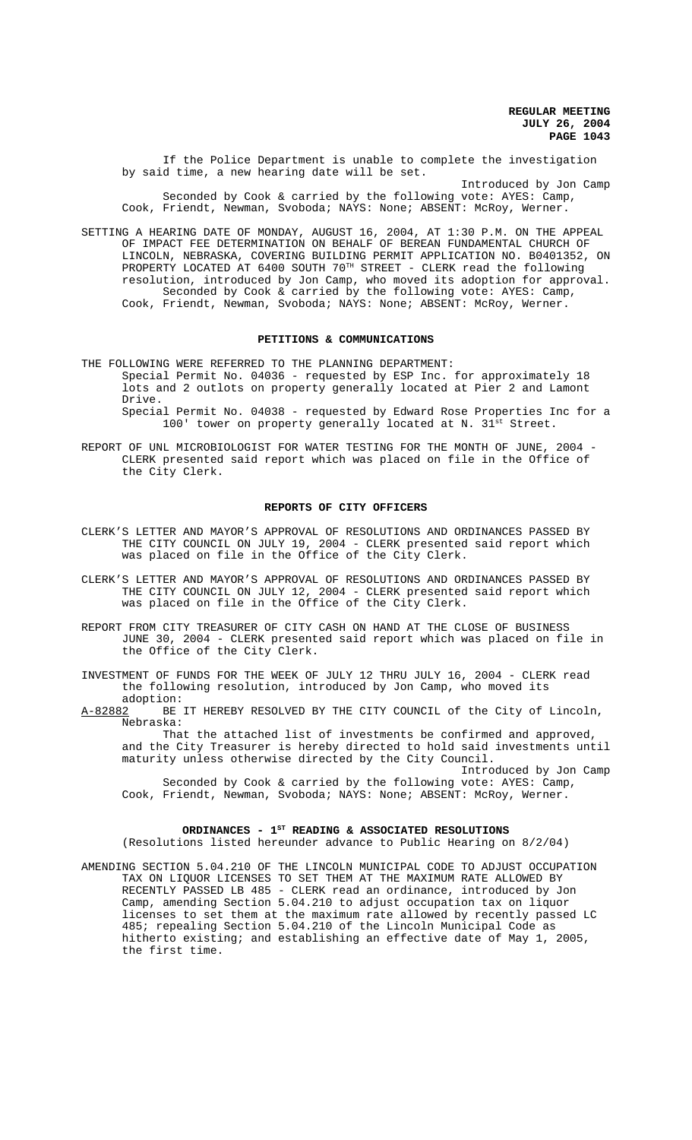If the Police Department is unable to complete the investigation by said time, a new hearing date will be set.

Introduced by Jon Camp Seconded by Cook & carried by the following vote: AYES: Camp, Cook, Friendt, Newman, Svoboda; NAYS: None; ABSENT: McRoy, Werner.

SETTING A HEARING DATE OF MONDAY, AUGUST 16, 2004, AT 1:30 P.M. ON THE APPEAL OF IMPACT FEE DETERMINATION ON BEHALF OF BEREAN FUNDAMENTAL CHURCH OF LINCOLN, NEBRASKA, COVERING BUILDING PERMIT APPLICATION NO. B0401352, ON PROPERTY LOCATED AT 6400 SOUTH 70TH STREET - CLERK read the following resolution, introduced by Jon Camp, who moved its adoption for approval. Seconded by Cook & carried by the following vote: AYES: Camp, Cook, Friendt, Newman, Svoboda; NAYS: None; ABSENT: McRoy, Werner.

#### **PETITIONS & COMMUNICATIONS**

THE FOLLOWING WERE REFERRED TO THE PLANNING DEPARTMENT: Special Permit No. 04036 - requested by ESP Inc. for approximately 18 lots and 2 outlots on property generally located at Pier 2 and Lamont Drive.

Special Permit No. 04038 - requested by Edward Rose Properties Inc for a 100' tower on property generally located at N.  $31^{st}$  Street.

REPORT OF UNL MICROBIOLOGIST FOR WATER TESTING FOR THE MONTH OF JUNE, 2004 -CLERK presented said report which was placed on file in the Office of the City Clerk.

#### **REPORTS OF CITY OFFICERS**

- CLERK'S LETTER AND MAYOR'S APPROVAL OF RESOLUTIONS AND ORDINANCES PASSED BY THE CITY COUNCIL ON JULY 19, 2004 - CLERK presented said report which was placed on file in the Office of the City Clerk.
- CLERK'S LETTER AND MAYOR'S APPROVAL OF RESOLUTIONS AND ORDINANCES PASSED BY THE CITY COUNCIL ON JULY 12, 2004 - CLERK presented said report which was placed on file in the Office of the City Clerk.
- REPORT FROM CITY TREASURER OF CITY CASH ON HAND AT THE CLOSE OF BUSINESS JUNE 30, 2004 - CLERK presented said report which was placed on file in the Office of the City Clerk.
- INVESTMENT OF FUNDS FOR THE WEEK OF JULY 12 THRU JULY 16, 2004 CLERK read the following resolution, introduced by Jon Camp, who moved its
- adoption:<br>A-82882 BE BE IT HEREBY RESOLVED BY THE CITY COUNCIL of the City of Lincoln, Nebraska:

That the attached list of investments be confirmed and approved, and the City Treasurer is hereby directed to hold said investments until maturity unless otherwise directed by the City Council.

Introduced by Jon Camp Seconded by Cook & carried by the following vote: AYES: Camp, Cook, Friendt, Newman, Svoboda; NAYS: None; ABSENT: McRoy, Werner.

## ORDINANCES -  $1^{ST}$  READING & ASSOCIATED RESOLUTIONS

(Resolutions listed hereunder advance to Public Hearing on 8/2/04)

AMENDING SECTION 5.04.210 OF THE LINCOLN MUNICIPAL CODE TO ADJUST OCCUPATION TAX ON LIQUOR LICENSES TO SET THEM AT THE MAXIMUM RATE ALLOWED BY RECENTLY PASSED LB 485 - CLERK read an ordinance, introduced by Jon Camp, amending Section 5.04.210 to adjust occupation tax on liquor licenses to set them at the maximum rate allowed by recently passed LC 485; repealing Section 5.04.210 of the Lincoln Municipal Code as hitherto existing; and establishing an effective date of May 1, 2005, the first time.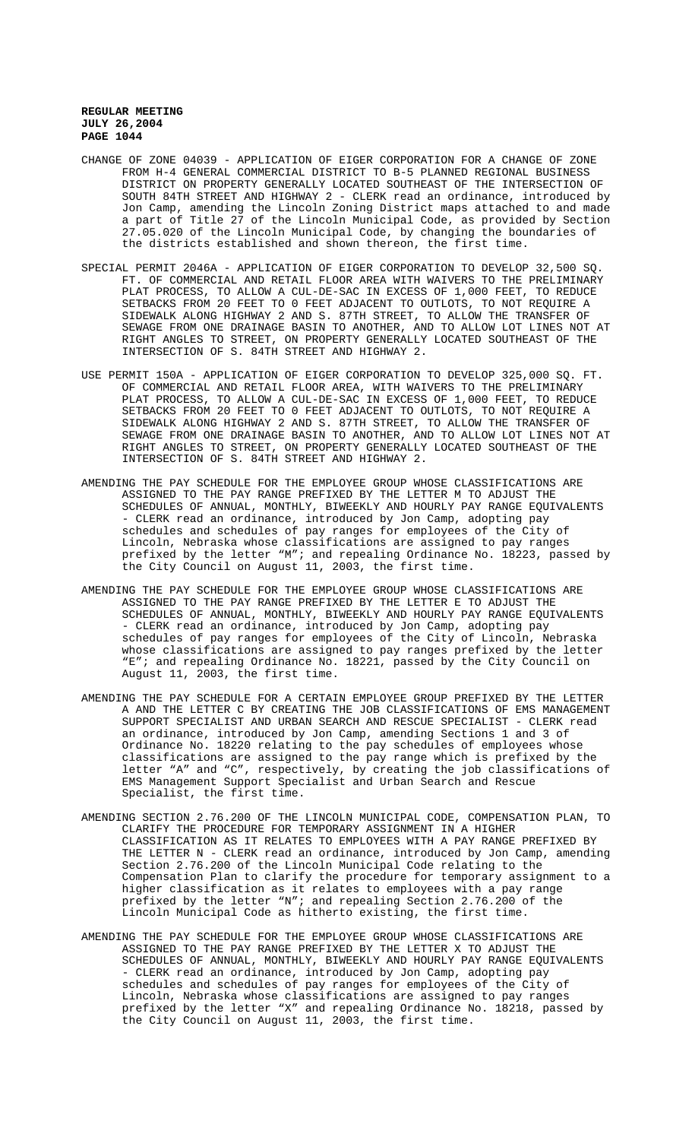- CHANGE OF ZONE 04039 APPLICATION OF EIGER CORPORATION FOR A CHANGE OF ZONE FROM H-4 GENERAL COMMERCIAL DISTRICT TO B-5 PLANNED REGIONAL BUSINESS DISTRICT ON PROPERTY GENERALLY LOCATED SOUTHEAST OF THE INTERSECTION OF SOUTH 84TH STREET AND HIGHWAY 2 - CLERK read an ordinance, introduced by Jon Camp, amending the Lincoln Zoning District maps attached to and made a part of Title 27 of the Lincoln Municipal Code, as provided by Section 27.05.020 of the Lincoln Municipal Code, by changing the boundaries of the districts established and shown thereon, the first time.
- SPECIAL PERMIT 2046A APPLICATION OF EIGER CORPORATION TO DEVELOP 32,500 SQ. FT. OF COMMERCIAL AND RETAIL FLOOR AREA WITH WAIVERS TO THE PRELIMINARY PLAT PROCESS, TO ALLOW A CUL-DE-SAC IN EXCESS OF 1,000 FEET, TO REDUCE SETBACKS FROM 20 FEET TO 0 FEET ADJACENT TO OUTLOTS, TO NOT REQUIRE A SIDEWALK ALONG HIGHWAY 2 AND S. 87TH STREET, TO ALLOW THE TRANSFER OF SEWAGE FROM ONE DRAINAGE BASIN TO ANOTHER, AND TO ALLOW LOT LINES NOT AT RIGHT ANGLES TO STREET, ON PROPERTY GENERALLY LOCATED SOUTHEAST OF THE INTERSECTION OF S. 84TH STREET AND HIGHWAY 2.
- USE PERMIT 150A APPLICATION OF EIGER CORPORATION TO DEVELOP 325,000 SQ. FT. OF COMMERCIAL AND RETAIL FLOOR AREA, WITH WAIVERS TO THE PRELIMINARY PLAT PROCESS, TO ALLOW A CUL-DE-SAC IN EXCESS OF 1,000 FEET, TO REDUCE SETBACKS FROM 20 FEET TO 0 FEET ADJACENT TO OUTLOTS, TO NOT REQUIRE A SIDEWALK ALONG HIGHWAY 2 AND S. 87TH STREET, TO ALLOW THE TRANSFER OF SEWAGE FROM ONE DRAINAGE BASIN TO ANOTHER, AND TO ALLOW LOT LINES NOT AT RIGHT ANGLES TO STREET, ON PROPERTY GENERALLY LOCATED SOUTHEAST OF THE INTERSECTION OF S. 84TH STREET AND HIGHWAY 2.
- AMENDING THE PAY SCHEDULE FOR THE EMPLOYEE GROUP WHOSE CLASSIFICATIONS ARE ASSIGNED TO THE PAY RANGE PREFIXED BY THE LETTER M TO ADJUST THE SCHEDULES OF ANNUAL, MONTHLY, BIWEEKLY AND HOURLY PAY RANGE EQUIVALENTS - CLERK read an ordinance, introduced by Jon Camp, adopting pay schedules and schedules of pay ranges for employees of the City of Lincoln, Nebraska whose classifications are assigned to pay ranges prefixed by the letter "M"; and repealing Ordinance No. 18223, passed by the City Council on August 11, 2003, the first time.
- AMENDING THE PAY SCHEDULE FOR THE EMPLOYEE GROUP WHOSE CLASSIFICATIONS ARE ASSIGNED TO THE PAY RANGE PREFIXED BY THE LETTER E TO ADJUST THE SCHEDULES OF ANNUAL, MONTHLY, BIWEEKLY AND HOURLY PAY RANGE EQUIVALENTS - CLERK read an ordinance, introduced by Jon Camp, adopting pay schedules of pay ranges for employees of the City of Lincoln, Nebraska whose classifications are assigned to pay ranges prefixed by the letter "E"; and repealing Ordinance No. 18221, passed by the City Council on August 11, 2003, the first time.
- AMENDING THE PAY SCHEDULE FOR A CERTAIN EMPLOYEE GROUP PREFIXED BY THE LETTER A AND THE LETTER C BY CREATING THE JOB CLASSIFICATIONS OF EMS MANAGEMENT SUPPORT SPECIALIST AND URBAN SEARCH AND RESCUE SPECIALIST - CLERK read an ordinance, introduced by Jon Camp, amending Sections 1 and 3 of Ordinance No. 18220 relating to the pay schedules of employees whose classifications are assigned to the pay range which is prefixed by the letter "A" and "C", respectively, by creating the job classifications of EMS Management Support Specialist and Urban Search and Rescue Specialist, the first time.
- AMENDING SECTION 2.76.200 OF THE LINCOLN MUNICIPAL CODE, COMPENSATION PLAN, TO CLARIFY THE PROCEDURE FOR TEMPORARY ASSIGNMENT IN A HIGHER CLASSIFICATION AS IT RELATES TO EMPLOYEES WITH A PAY RANGE PREFIXED BY THE LETTER N - CLERK read an ordinance, introduced by Jon Camp, amending Section 2.76.200 of the Lincoln Municipal Code relating to the Compensation Plan to clarify the procedure for temporary assignment to a higher classification as it relates to employees with a pay range prefixed by the letter "N"; and repealing Section 2.76.200 of the Lincoln Municipal Code as hitherto existing, the first time.
- AMENDING THE PAY SCHEDULE FOR THE EMPLOYEE GROUP WHOSE CLASSIFICATIONS ARE ASSIGNED TO THE PAY RANGE PREFIXED BY THE LETTER X TO ADJUST THE SCHEDULES OF ANNUAL, MONTHLY, BIWEEKLY AND HOURLY PAY RANGE EQUIVALENTS - CLERK read an ordinance, introduced by Jon Camp, adopting pay schedules and schedules of pay ranges for employees of the City of Lincoln, Nebraska whose classifications are assigned to pay ranges prefixed by the letter "X" and repealing Ordinance No. 18218, passed by the City Council on August 11, 2003, the first time.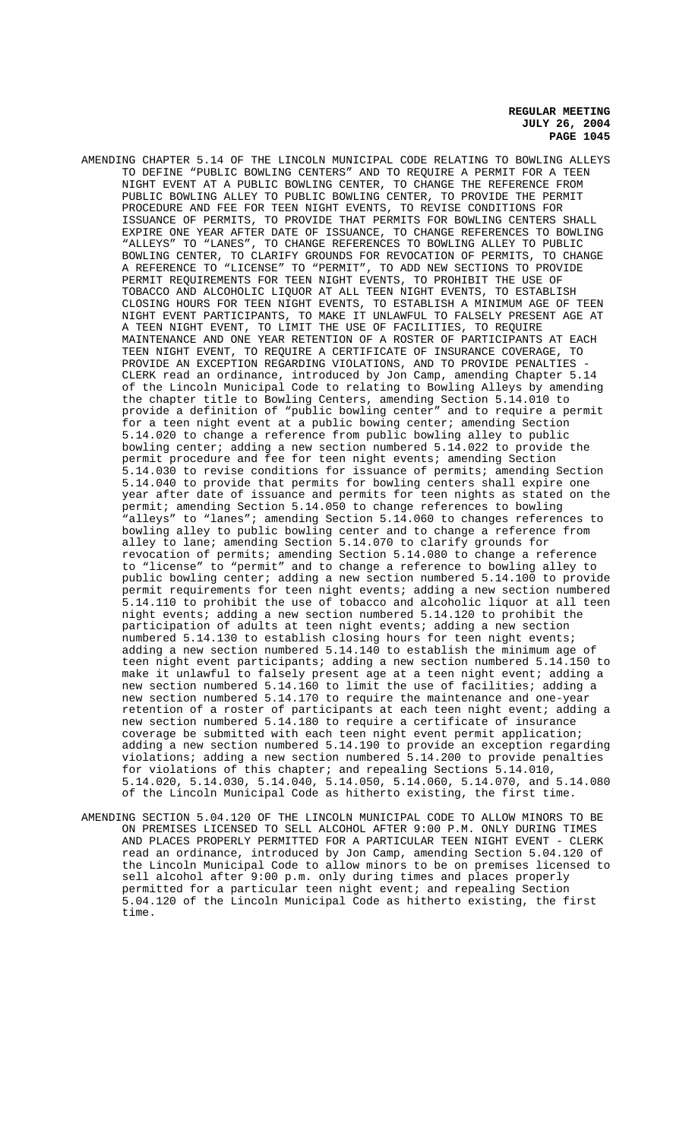AMENDING CHAPTER 5.14 OF THE LINCOLN MUNICIPAL CODE RELATING TO BOWLING ALLEYS TO DEFINE "PUBLIC BOWLING CENTERS" AND TO REQUIRE A PERMIT FOR A TEEN NIGHT EVENT AT A PUBLIC BOWLING CENTER, TO CHANGE THE REFERENCE FROM PUBLIC BOWLING ALLEY TO PUBLIC BOWLING CENTER, TO PROVIDE THE PERMIT PROCEDURE AND FEE FOR TEEN NIGHT EVENTS, TO REVISE CONDITIONS FOR ISSUANCE OF PERMITS, TO PROVIDE THAT PERMITS FOR BOWLING CENTERS SHALL EXPIRE ONE YEAR AFTER DATE OF ISSUANCE, TO CHANGE REFERENCES TO BOWLING "ALLEYS" TO "LANES", TO CHANGE REFERENCES TO BOWLING ALLEY TO PUBLIC BOWLING CENTER, TO CLARIFY GROUNDS FOR REVOCATION OF PERMITS, TO CHANGE A REFERENCE TO "LICENSE" TO "PERMIT", TO ADD NEW SECTIONS TO PROVIDE PERMIT REQUIREMENTS FOR TEEN NIGHT EVENTS, TO PROHIBIT THE USE OF TOBACCO AND ALCOHOLIC LIQUOR AT ALL TEEN NIGHT EVENTS, TO ESTABLISH CLOSING HOURS FOR TEEN NIGHT EVENTS, TO ESTABLISH A MINIMUM AGE OF TEEN NIGHT EVENT PARTICIPANTS, TO MAKE IT UNLAWFUL TO FALSELY PRESENT AGE AT A TEEN NIGHT EVENT, TO LIMIT THE USE OF FACILITIES, TO REQUIRE MAINTENANCE AND ONE YEAR RETENTION OF A ROSTER OF PARTICIPANTS AT EACH TEEN NIGHT EVENT, TO REQUIRE A CERTIFICATE OF INSURANCE COVERAGE, TO PROVIDE AN EXCEPTION REGARDING VIOLATIONS, AND TO PROVIDE PENALTIES CLERK read an ordinance, introduced by Jon Camp, amending Chapter 5.14 of the Lincoln Municipal Code to relating to Bowling Alleys by amending the chapter title to Bowling Centers, amending Section 5.14.010 to provide a definition of "public bowling center" and to require a permit for a teen night event at a public bowing center; amending Section 5.14.020 to change a reference from public bowling alley to public bowling center; adding a new section numbered 5.14.022 to provide the permit procedure and fee for teen night events; amending Section 5.14.030 to revise conditions for issuance of permits; amending Section 5.14.040 to provide that permits for bowling centers shall expire one year after date of issuance and permits for teen nights as stated on the permit; amending Section 5.14.050 to change references to bowling "alleys" to "lanes"; amending Section 5.14.060 to changes references to bowling alley to public bowling center and to change a reference from alley to lane; amending Section 5.14.070 to clarify grounds for revocation of permits; amending Section 5.14.080 to change a reference to "license" to "permit" and to change a reference to bowling alley to public bowling center; adding a new section numbered 5.14.100 to provide permit requirements for teen night events; adding a new section numbered 5.14.110 to prohibit the use of tobacco and alcoholic liquor at all teen night events; adding a new section numbered 5.14.120 to prohibit the participation of adults at teen night events; adding a new section numbered 5.14.130 to establish closing hours for teen night events; adding a new section numbered 5.14.140 to establish the minimum age of teen night event participants; adding a new section numbered 5.14.150 to make it unlawful to falsely present age at a teen night event; adding a new section numbered 5.14.160 to limit the use of facilities; adding a new section numbered 5.14.170 to require the maintenance and one-year retention of a roster of participants at each teen night event; adding a new section numbered 5.14.180 to require a certificate of insurance coverage be submitted with each teen night event permit application; adding a new section numbered 5.14.190 to provide an exception regarding violations; adding a new section numbered 5.14.200 to provide penalties for violations of this chapter; and repealing Sections 5.14.010, 5.14.020, 5.14.030, 5.14.040, 5.14.050, 5.14.060, 5.14.070, and 5.14.080 of the Lincoln Municipal Code as hitherto existing, the first time.

AMENDING SECTION 5.04.120 OF THE LINCOLN MUNICIPAL CODE TO ALLOW MINORS TO BE ON PREMISES LICENSED TO SELL ALCOHOL AFTER 9:00 P.M. ONLY DURING TIMES AND PLACES PROPERLY PERMITTED FOR A PARTICULAR TEEN NIGHT EVENT - CLERK read an ordinance, introduced by Jon Camp, amending Section 5.04.120 of the Lincoln Municipal Code to allow minors to be on premises licensed to sell alcohol after 9:00 p.m. only during times and places properly permitted for a particular teen night event; and repealing Section 5.04.120 of the Lincoln Municipal Code as hitherto existing, the first time.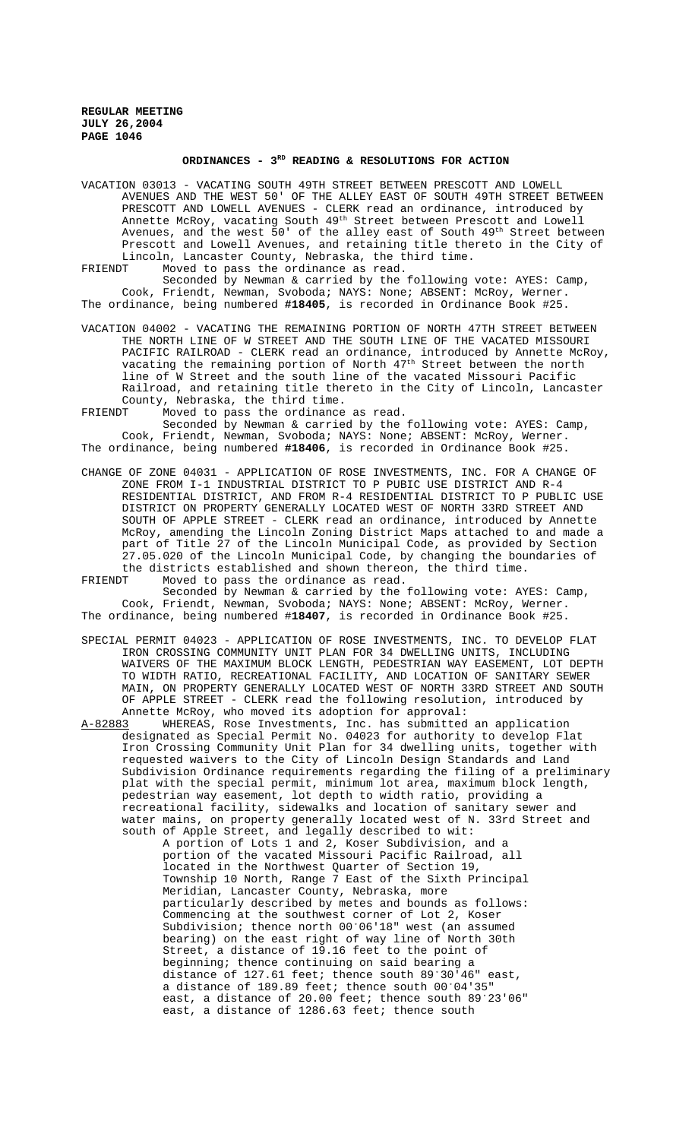## **ORDINANCES - 3RD READING & RESOLUTIONS FOR ACTION**

VACATION 03013 - VACATING SOUTH 49TH STREET BETWEEN PRESCOTT AND LOWELL AVENUES AND THE WEST 50' OF THE ALLEY EAST OF SOUTH 49TH STREET BETWEEN PRESCOTT AND LOWELL AVENUES - CLERK read an ordinance, introduced by Annette McRoy, vacating South 49th Street between Prescott and Lowell Avenues, and the west 50' of the alley east of South 49<sup>th</sup> Street between Prescott and Lowell Avenues, and retaining title thereto in the City of Lincoln, Lancaster County, Nebraska, the third time. FRIENDT Moved to pass the ordinance as read.

Seconded by Newman & carried by the following vote: AYES: Camp, Cook, Friendt, Newman, Svoboda; NAYS: None; ABSENT: McRoy, Werner. The ordinance, being numbered **#18405**, is recorded in Ordinance Book #25.

- VACATION 04002 VACATING THE REMAINING PORTION OF NORTH 47TH STREET BETWEEN THE NORTH LINE OF W STREET AND THE SOUTH LINE OF THE VACATED MISSOURI PACIFIC RAILROAD - CLERK read an ordinance, introduced by Annette McRoy, vacating the remaining portion of North 47<sup>th</sup> Street between the north line of W Street and the south line of the vacated Missouri Pacific Railroad, and retaining title thereto in the City of Lincoln, Lancaster County, Nebraska, the third time.<br>ERIENDT Moved to pass the ordinance
- Moved to pass the ordinance as read.

Seconded by Newman & carried by the following vote: AYES: Camp, Cook, Friendt, Newman, Svoboda; NAYS: None; ABSENT: McRoy, Werner. The ordinance, being numbered **#18406**, is recorded in Ordinance Book #25.

CHANGE OF ZONE 04031 - APPLICATION OF ROSE INVESTMENTS, INC. FOR A CHANGE OF ZONE FROM I-1 INDUSTRIAL DISTRICT TO P PUBIC USE DISTRICT AND R-4 RESIDENTIAL DISTRICT, AND FROM R-4 RESIDENTIAL DISTRICT TO P PUBLIC USE DISTRICT ON PROPERTY GENERALLY LOCATED WEST OF NORTH 33RD STREET AND SOUTH OF APPLE STREET - CLERK read an ordinance, introduced by Annette McRoy, amending the Lincoln Zoning District Maps attached to and made a part of Title 27 of the Lincoln Municipal Code, as provided by Section 27.05.020 of the Lincoln Municipal Code, by changing the boundaries of the districts established and shown thereon, the third time.<br>FRIENDT Moved to pass the ordinance as read.

Moved to pass the ordinance as read. Seconded by Newman & carried by the following vote: AYES: Camp, Cook, Friendt, Newman, Svoboda; NAYS: None; ABSENT: McRoy, Werner. The ordinance, being numbered #**18407**, is recorded in Ordinance Book #25.

SPECIAL PERMIT 04023 - APPLICATION OF ROSE INVESTMENTS, INC. TO DEVELOP FLAT IRON CROSSING COMMUNITY UNIT PLAN FOR 34 DWELLING UNITS, INCLUDING WAIVERS OF THE MAXIMUM BLOCK LENGTH, PEDESTRIAN WAY EASEMENT, LOT DEPTH TO WIDTH RATIO, RECREATIONAL FACILITY, AND LOCATION OF SANITARY SEWER MAIN, ON PROPERTY GENERALLY LOCATED WEST OF NORTH 33RD STREET AND SOUTH OF APPLE STREET - CLERK read the following resolution, introduced by Annette McRoy, who moved its adoption for approval:<br>A-82883 WHEREAS, Rose Investments, Inc. has submitted

A-82883 WHEREAS, Rose Investments, Inc. has submitted an application designated as Special Permit No. 04023 for authority to develop Flat Iron Crossing Community Unit Plan for 34 dwelling units, together with requested waivers to the City of Lincoln Design Standards and Land Subdivision Ordinance requirements regarding the filing of a preliminary plat with the special permit, minimum lot area, maximum block length, pedestrian way easement, lot depth to width ratio, providing a recreational facility, sidewalks and location of sanitary sewer and water mains, on property generally located west of N. 33rd Street and south of Apple Street, and legally described to wit:

A portion of Lots 1 and 2, Koser Subdivision, and a portion of the vacated Missouri Pacific Railroad, all located in the Northwest Quarter of Section 19, Township 10 North, Range 7 East of the Sixth Principal Meridian, Lancaster County, Nebraska, more particularly described by metes and bounds as follows: Commencing at the southwest corner of Lot 2, Koser Subdivision; thence north 00'06'18" west (an assumed bearing) on the east right of way line of North 30th Street, a distance of 19.16 feet to the point of beginning; thence continuing on said bearing a distance of 127.61 feet; thence south  $89^{\degree}30^{\degree}46^{\degree}$  east, a distance of 189.89 feet; thence south 00°04'35" east, a distance of 20.00 feet; thence south 89°23'06" east, a distance of 1286.63 feet; thence south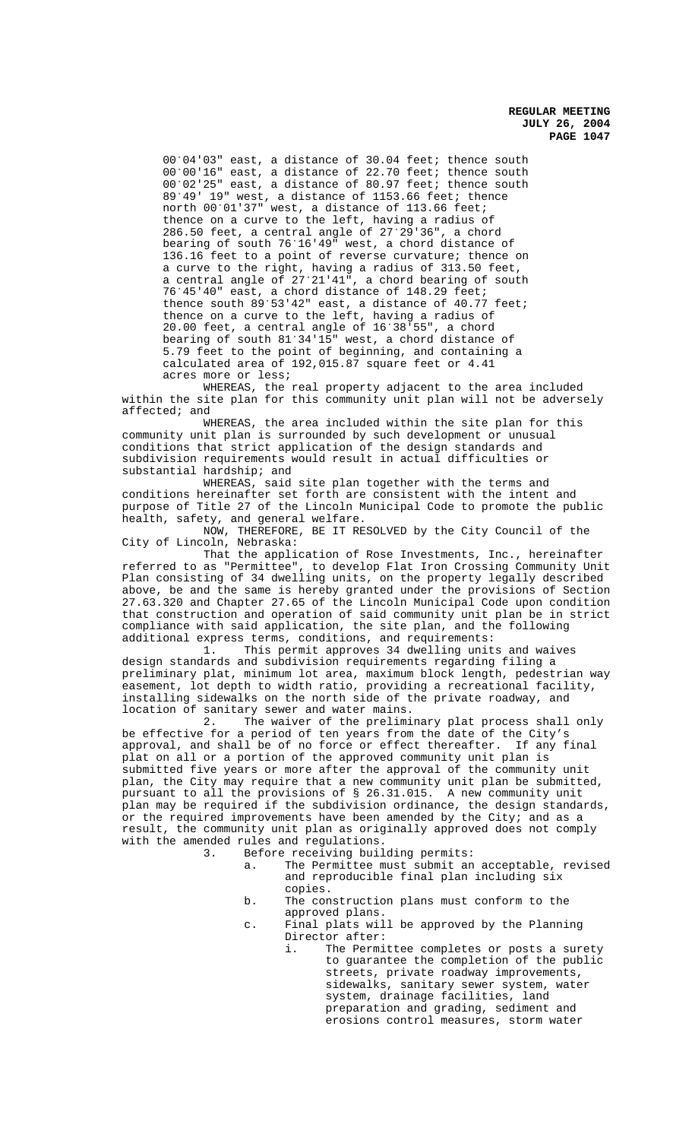00°04'03" east, a distance of 30.04 feet; thence south 00°00'16" east, a distance of 22.70 feet; thence south 00°02'25" east, a distance of 80.97 feet; thence south 89/49' 19" west, a distance of 1153.66 feet; thence north 00°01'37" west, a distance of 113.66 feet; thence on a curve to the left, having a radius of 286.50 feet, a central angle of  $27.29'36''$ , a chord bearing of south 76/16'49" west, a chord distance of 136.16 feet to a point of reverse curvature; thence on a curve to the right, having a radius of 313.50 feet, a central angle of 27°21'41", a chord bearing of south 76°45'40" east, a chord distance of 148.29 feet; thence south  $89'53'42''$  east, a distance of  $40.77$  feet; thence on a curve to the left, having a radius of 20.00 feet, a central angle of 16/38'55", a chord bearing of south  $81^{\circ}34^{\circ}15$ " west, a chord distance of 5.79 feet to the point of beginning, and containing a calculated area of 192,015.87 square feet or 4.41 acres more or less;

WHEREAS, the real property adjacent to the area included within the site plan for this community unit plan will not be adversely affected; and

WHEREAS, the area included within the site plan for this community unit plan is surrounded by such development or unusual conditions that strict application of the design standards and subdivision requirements would result in actual difficulties or substantial hardship; and

WHEREAS, said site plan together with the terms and conditions hereinafter set forth are consistent with the intent and purpose of Title 27 of the Lincoln Municipal Code to promote the public health, safety, and general welfare.

NOW, THEREFORE, BE IT RESOLVED by the City Council of the City of Lincoln, Nebraska:

That the application of Rose Investments, Inc., hereinafter referred to as "Permittee", to develop Flat Iron Crossing Community Unit Plan consisting of 34 dwelling units, on the property legally described above, be and the same is hereby granted under the provisions of Section 27.63.320 and Chapter 27.65 of the Lincoln Municipal Code upon condition that construction and operation of said community unit plan be in strict compliance with said application, the site plan, and the following additional express terms, conditions, and requirements:

1. This permit approves 34 dwelling units and waives design standards and subdivision requirements regarding filing a preliminary plat, minimum lot area, maximum block length, pedestrian way easement, lot depth to width ratio, providing a recreational facility, installing sidewalks on the north side of the private roadway, and location of sanitary sewer and water mains.<br>2. The waiver of the prelimi

The waiver of the preliminary plat process shall only be effective for a period of ten years from the date of the City's approval, and shall be of no force or effect thereafter. If any final plat on all or a portion of the approved community unit plan is submitted five years or more after the approval of the community unit plan, the City may require that a new community unit plan be submitted, pursuant to all the provisions of § 26.31.015. A new community unit plan may be required if the subdivision ordinance, the design standards, or the required improvements have been amended by the City; and as a result, the community unit plan as originally approved does not comply with the amended rules and regulations.<br>3. Before receiving buil

- Before receiving building permits:
	- a. The Permittee must submit an acceptable, revised and reproducible final plan including six copies.
	- b. The construction plans must conform to the approved plans.
	- c. Final plats will be approved by the Planning Director after:
		- i. The Permittee completes or posts a surety to guarantee the completion of the public streets, private roadway improvements, sidewalks, sanitary sewer system, water system, drainage facilities, land preparation and grading, sediment and erosions control measures, storm water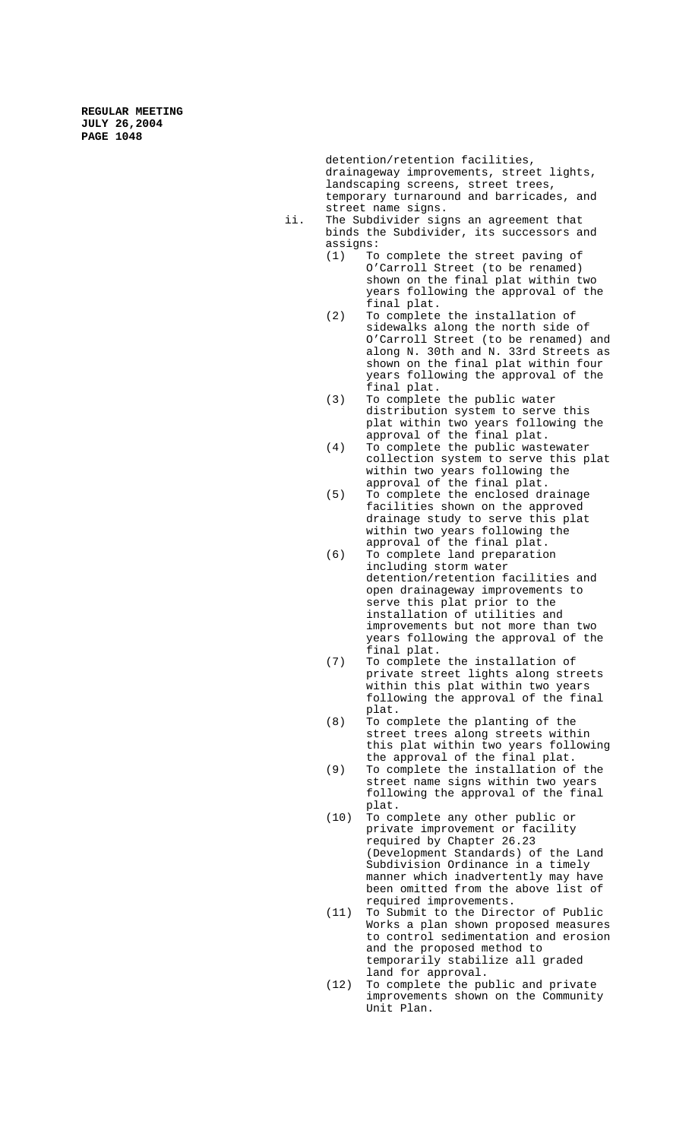> detention/retention facilities, drainageway improvements, street lights, landscaping screens, street trees, temporary turnaround and barricades, and street name signs.

- ii. The Subdivider signs an agreement that binds the Subdivider, its successors and  $assigns:$ <br> $(1)$  To
	- To complete the street paving of O'Carroll Street (to be renamed) shown on the final plat within two years following the approval of the final plat.
	- (2) To complete the installation of sidewalks along the north side of O'Carroll Street (to be renamed) and along N. 30th and N. 33rd Streets as shown on the final plat within four years following the approval of the final plat.
	- (3) To complete the public water distribution system to serve this plat within two years following the approval of the final plat.
	- (4) To complete the public wastewater collection system to serve this plat within two years following the approval of the final plat.
	- (5) To complete the enclosed drainage facilities shown on the approved drainage study to serve this plat within two years following the approval of the final plat.
	- (6) To complete land preparation including storm water detention/retention facilities and open drainageway improvements to serve this plat prior to the installation of utilities and improvements but not more than two years following the approval of the final plat.
	- (7) To complete the installation of private street lights along streets within this plat within two years following the approval of the final plat.
	- (8) To complete the planting of the street trees along streets within this plat within two years following the approval of the final plat.
	- (9) To complete the installation of the street name signs within two years following the approval of the final plat.
	- (10) To complete any other public or private improvement or facility required by Chapter 26.23 (Development Standards) of the Land Subdivision Ordinance in a timely manner which inadvertently may have been omitted from the above list of required improvements.
	- (11) To Submit to the Director of Public Works a plan shown proposed measures to control sedimentation and erosion and the proposed method to temporarily stabilize all graded land for approval.
	- (12) To complete the public and private improvements shown on the Community Unit Plan.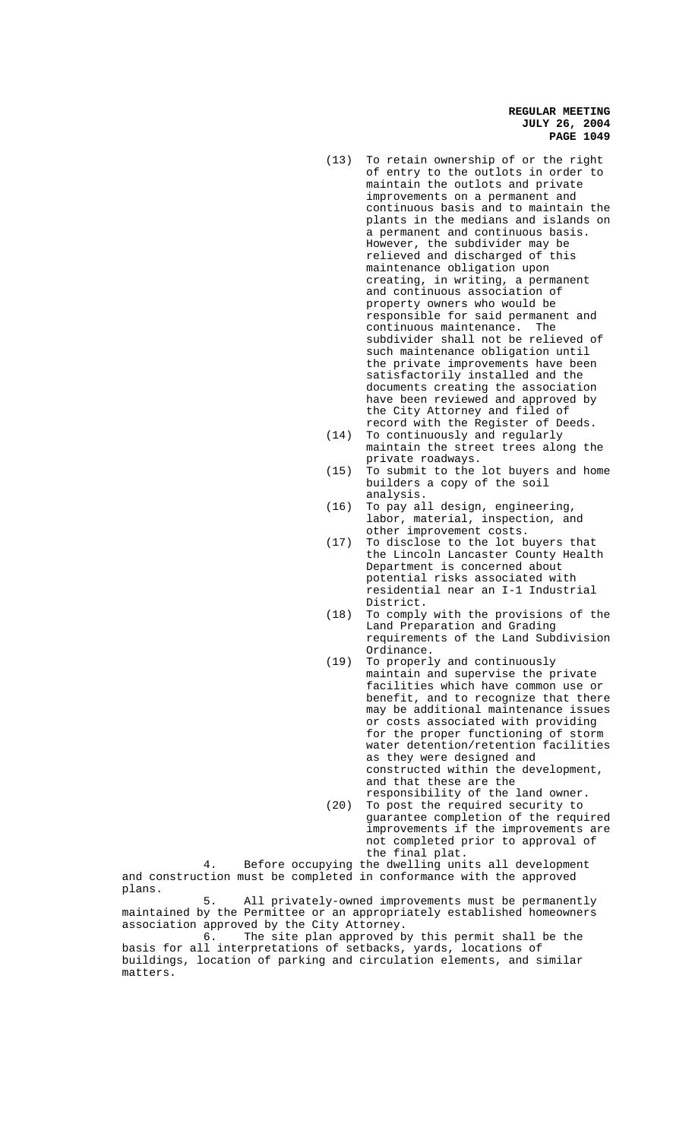- (13) To retain ownership of or the right of entry to the outlots in order to maintain the outlots and private improvements on a permanent and continuous basis and to maintain the plants in the medians and islands on a permanent and continuous basis. However, the subdivider may be relieved and discharged of this maintenance obligation upon creating, in writing, a permanent and continuous association of property owners who would be responsible for said permanent and continuous maintenance. The subdivider shall not be relieved of such maintenance obligation until the private improvements have been satisfactorily installed and the documents creating the association have been reviewed and approved by the City Attorney and filed of record with the Register of Deeds.
- (14) To continuously and regularly maintain the street trees along the private roadways.
- (15) To submit to the lot buyers and home builders a copy of the soil analysis.
- (16) To pay all design, engineering, labor, material, inspection, and other improvement costs.
- (17) To disclose to the lot buyers that the Lincoln Lancaster County Health Department is concerned about potential risks associated with residential near an I-1 Industrial District.
- (18) To comply with the provisions of the Land Preparation and Grading requirements of the Land Subdivision Ordinance.
- (19) To properly and continuously maintain and supervise the private facilities which have common use or benefit, and to recognize that there may be additional maintenance issues or costs associated with providing for the proper functioning of storm water detention/retention facilities as they were designed and constructed within the development, and that these are the responsibility of the land owner.
- (20) To post the required security to guarantee completion of the required improvements if the improvements are not completed prior to approval of the final plat.

4. Before occupying the dwelling units all development and construction must be completed in conformance with the approved plans.

All privately-owned improvements must be permanently maintained by the Permittee or an appropriately established homeowners association approved by the City Attorney.<br>6. The site plan approved b

The site plan approved by this permit shall be the basis for all interpretations of setbacks, yards, locations of buildings, location of parking and circulation elements, and similar matters.